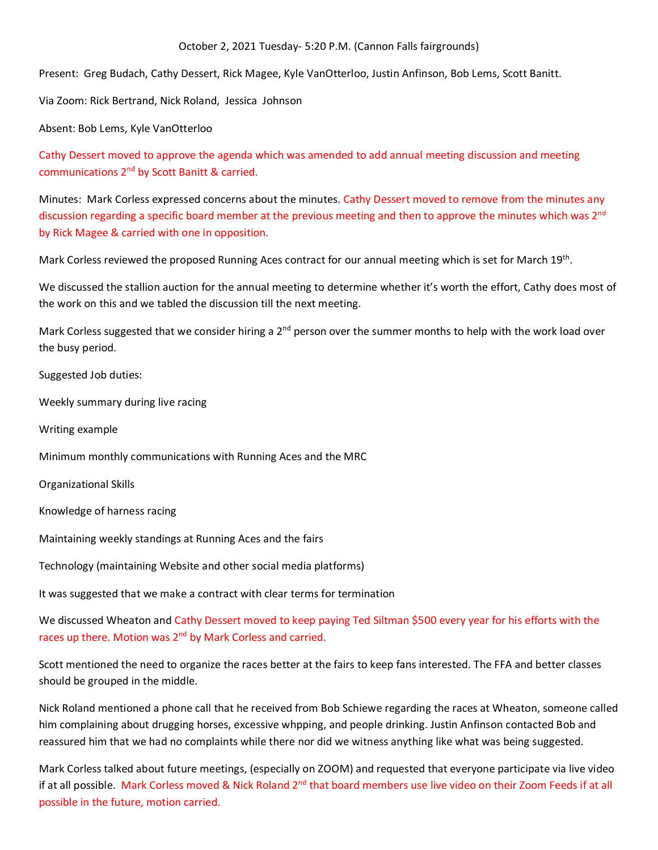October 2, 2021 Tuesday- 5:20 P.M. (Cannon Falls fairgrounds)

Present: Greg Budach, Cathy Dessert, Rick Magee, Kyle VanOtterloo, Justin Anfinson, Bob Lems, Scott Banitt.

Via Zoom: Rick Bertrand, Nick Roland, Jessica Johnson

Absent: Bob Lems, Kyle VanOtterloo

Cathy Dessert moved to approve the agenda which was amended to add annual meeting discussion and meeting communications 2nd by Scott Banitt & carried.

Minutes: Mark Corless expressed concerns about the minutes. Cathy Dessert moved to remove from the minutes any discussion regarding a specific board member at the previous meeting and then to approve the minutes which was 2<sup>nd</sup> by Rick Magee & carried with one in opposition.

Mark Corless reviewed the proposed Running Aces contract for our annual meeting which is set for March 19th.

We discussed the stallion auction for the annual meeting to determine whether it's worth the effort, Cathy does most of the work on this and we tabled the discussion till the next meeting.

Mark Corless suggested that we consider hiring a 2<sup>nd</sup> person over the summer months to help with the work load over the busy period.

Suggested Job duties:

Weekly summary during live racing

Writing example

Minimum monthly communications with Running Aces and the MRC

Organizational Skills

Knowledge of harness racing

Maintaining weekly standings at Running Aces and the fairs

Technology (maintaining Website and other social media platforms)

It was suggested that we make a contract with clear terms for termination

We discussed Wheaton and Cathy Dessert moved to keep paying Ted Siltman \$500 every year for his efforts with the races up there. Motion was 2<sup>nd</sup> by Mark Corless and carried.

Scott mentioned the need to organize the races better at the fairs to keep fans interested. The FFA and better classes should be grouped in the middle.

Nick Roland mentioned a phone call that he received from Bob Schiewe regarding the races at Wheaton, someone called him complaining about drugging horses, excessive whpping, and people drinking. Justin Anfinson contacted Bob and reassured him that we had no complaints while there nor did we witness anything like what was being suggested.

Mark Corless talked about future meetings, (especially on ZOOM) and requested that everyone participate via live video if at all possible. Mark Corless moved & Nick Roland 2<sup>nd</sup> that board members use live video on their Zoom Feeds if at all possible in the future, motion carried.